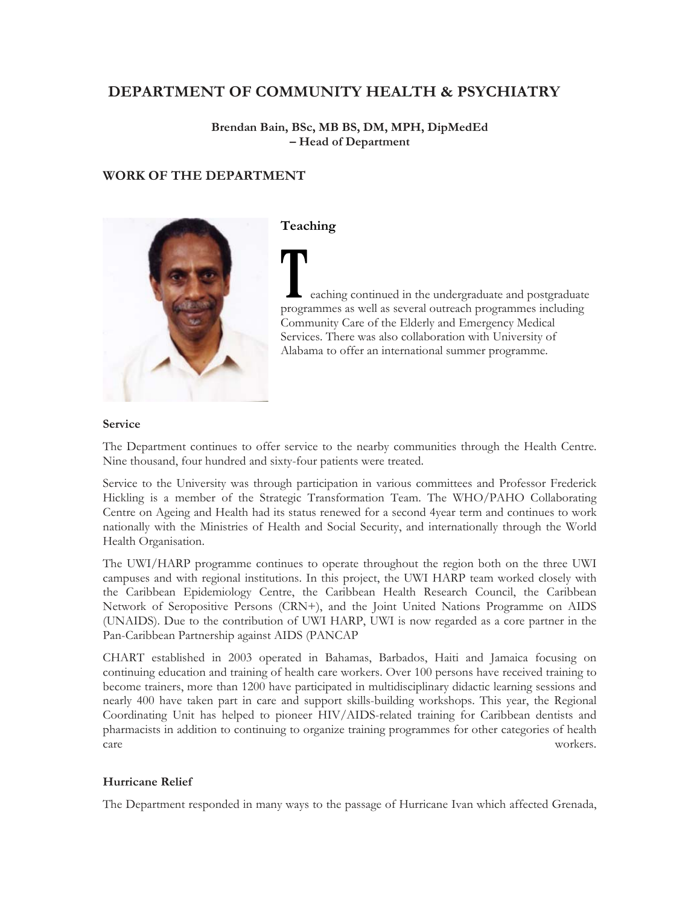# **DEPARTMENT OF COMMUNITY HEALTH & PSYCHIATRY**

**Brendan Bain, BSc, MB BS, DM, MPH, DipMedEd – Head of Department** 

# **WORK OF THE DEPARTMENT**



### **Teaching**

 eaching continued in the undergraduate and postgraduate programmes as well as several outreach programmes including Community Care of the Elderly and Emergency Medical Services. There was also collaboration with University of Alabama to offer an international summer programme.

#### **Service**

The Department continues to offer service to the nearby communities through the Health Centre. Nine thousand, four hundred and sixty-four patients were treated.

Service to the University was through participation in various committees and Professor Frederick Hickling is a member of the Strategic Transformation Team. The WHO/PAHO Collaborating Centre on Ageing and Health had its status renewed for a second 4year term and continues to work nationally with the Ministries of Health and Social Security, and internationally through the World Health Organisation.

The UWI/HARP programme continues to operate throughout the region both on the three UWI campuses and with regional institutions. In this project, the UWI HARP team worked closely with the Caribbean Epidemiology Centre, the Caribbean Health Research Council, the Caribbean Network of Seropositive Persons (CRN+), and the Joint United Nations Programme on AIDS (UNAIDS). Due to the contribution of UWI HARP, UWI is now regarded as a core partner in the Pan-Caribbean Partnership against AIDS (PANCAP

CHART established in 2003 operated in Bahamas, Barbados, Haiti and Jamaica focusing on continuing education and training of health care workers. Over 100 persons have received training to become trainers, more than 1200 have participated in multidisciplinary didactic learning sessions and nearly 400 have taken part in care and support skills-building workshops. This year, the Regional Coordinating Unit has helped to pioneer HIV/AIDS-related training for Caribbean dentists and pharmacists in addition to continuing to organize training programmes for other categories of health care workers.

### **Hurricane Relief**

The Department responded in many ways to the passage of Hurricane Ivan which affected Grenada,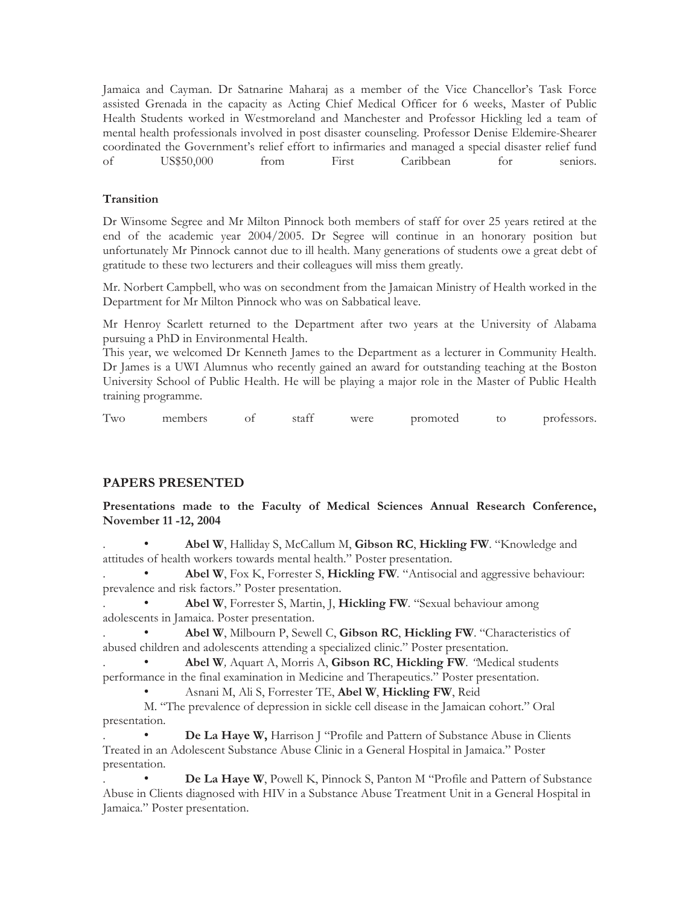Jamaica and Cayman. Dr Satnarine Maharaj as a member of the Vice Chancellor's Task Force assisted Grenada in the capacity as Acting Chief Medical Officer for 6 weeks, Master of Public Health Students worked in Westmoreland and Manchester and Professor Hickling led a team of mental health professionals involved in post disaster counseling. Professor Denise Eldemire-Shearer coordinated the Government's relief effort to infirmaries and managed a special disaster relief fund of US\$50,000 from First Caribbean for seniors.

### **Transition**

Dr Winsome Segree and Mr Milton Pinnock both members of staff for over 25 years retired at the end of the academic year 2004/2005. Dr Segree will continue in an honorary position but unfortunately Mr Pinnock cannot due to ill health. Many generations of students owe a great debt of gratitude to these two lecturers and their colleagues will miss them greatly.

Mr. Norbert Campbell, who was on secondment from the Jamaican Ministry of Health worked in the Department for Mr Milton Pinnock who was on Sabbatical leave.

Mr Henroy Scarlett returned to the Department after two years at the University of Alabama pursuing a PhD in Environmental Health.

This year, we welcomed Dr Kenneth James to the Department as a lecturer in Community Health. Dr James is a UWI Alumnus who recently gained an award for outstanding teaching at the Boston University School of Public Health. He will be playing a major role in the Master of Public Health training programme.

Two members of staff were promoted to professors.

### **PAPERS PRESENTED**

**Presentations made to the Faculty of Medical Sciences Annual Research Conference, November 11 -12, 2004** 

. • **Abel W**, Halliday S, McCallum M, **Gibson RC**, **Hickling FW**. "Knowledge and attitudes of health workers towards mental health." Poster presentation.

. • **Abel W**, Fox K, Forrester S, **Hickling FW***.* "Antisocial and aggressive behaviour: prevalence and risk factors." Poster presentation.

. • **Abel W**, Forrester S, Martin, J, **Hickling FW***.* "Sexual behaviour among adolescents in Jamaica. Poster presentation.

. • **Abel W**, Milbourn P, Sewell C, **Gibson RC**, **Hickling FW**. "Characteristics of abused children and adolescents attending a specialized clinic." Poster presentation.

. • **Abel W***,* Aquart A, Morris A, **Gibson RC**, **Hickling FW***. "*Medical students performance in the final examination in Medicine and Therapeutics." Poster presentation.

• Asnani M, Ali S, Forrester TE, **Abel W**, **Hickling FW**, Reid

M. "The prevalence of depression in sickle cell disease in the Jamaican cohort." Oral presentation.

De La Haye W, Harrison J "Profile and Pattern of Substance Abuse in Clients Treated in an Adolescent Substance Abuse Clinic in a General Hospital in Jamaica." Poster presentation.

De La Haye W, Powell K, Pinnock S, Panton M "Profile and Pattern of Substance Abuse in Clients diagnosed with HIV in a Substance Abuse Treatment Unit in a General Hospital in Jamaica." Poster presentation.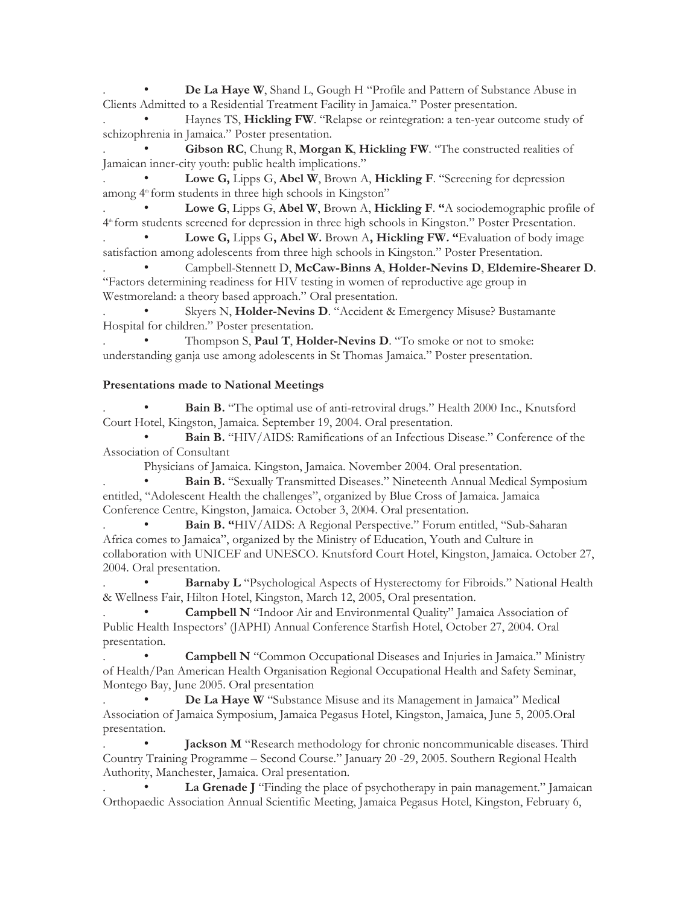**De La Haye W**, Shand L, Gough H "Profile and Pattern of Substance Abuse in Clients Admitted to a Residential Treatment Facility in Jamaica." Poster presentation.

. • Haynes TS, **Hickling FW**. "Relapse or reintegration: a ten-year outcome study of schizophrenia in Jamaica." Poster presentation.

. • **Gibson RC**, Chung R, **Morgan K**, **Hickling FW**. "The constructed realities of Jamaican inner-city youth: public health implications."

Lowe G, Lipps G, Abel W, Brown A, Hickling F. "Screening for depression among 4<sup>th</sup> form students in three high schools in Kingston"

. • **Lowe G**, Lipps G, **Abel W**, Brown A, **Hickling F**. **"**A sociodemographic profile of 4<sup>th</sup> form students screened for depression in three high schools in Kingston." Poster Presentation.

. • **Lowe G,** Lipps G**, Abel W.** Brown A**, Hickling FW. "**Evaluation of body image satisfaction among adolescents from three high schools in Kingston." Poster Presentation.

. • Campbell-Stennett D, **McCaw-Binns A**, **Holder-Nevins D**, **Eldemire-Shearer D**. "Factors determining readiness for HIV testing in women of reproductive age group in Westmoreland: a theory based approach." Oral presentation.

Skyers N, Holder-Nevins D. "Accident & Emergency Misuse? Bustamante Hospital for children." Poster presentation.

Thompson S, **Paul T**, **Holder-Nevins D**. "To smoke or not to smoke: understanding ganja use among adolescents in St Thomas Jamaica." Poster presentation.

### **Presentations made to National Meetings**

Bain B. "The optimal use of anti-retroviral drugs." Health 2000 Inc., Knutsford Court Hotel, Kingston, Jamaica. September 19, 2004. Oral presentation.

• **Bain B.** "HIV/AIDS: Ramifications of an Infectious Disease." Conference of the Association of Consultant

Physicians of Jamaica. Kingston, Jamaica. November 2004. Oral presentation.

Bain B. "Sexually Transmitted Diseases." Nineteenth Annual Medical Symposium entitled, "Adolescent Health the challenges", organized by Blue Cross of Jamaica. Jamaica Conference Centre, Kingston, Jamaica. October 3, 2004. Oral presentation.

Bain B. "HIV/AIDS: A Regional Perspective." Forum entitled, "Sub-Saharan Africa comes to Jamaica", organized by the Ministry of Education, Youth and Culture in collaboration with UNICEF and UNESCO. Knutsford Court Hotel, Kingston, Jamaica. October 27, 2004. Oral presentation.

Barnaby L "Psychological Aspects of Hysterectomy for Fibroids." National Health & Wellness Fair, Hilton Hotel, Kingston, March 12, 2005, Oral presentation.

**Campbell N** "Indoor Air and Environmental Quality" Jamaica Association of Public Health Inspectors' (JAPHI) Annual Conference Starfish Hotel, October 27, 2004. Oral presentation.

. • **Campbell N** "Common Occupational Diseases and Injuries in Jamaica." Ministry of Health/Pan American Health Organisation Regional Occupational Health and Safety Seminar, Montego Bay, June 2005. Oral presentation

. • **De La Haye W** "Substance Misuse and its Management in Jamaica" Medical Association of Jamaica Symposium, Jamaica Pegasus Hotel, Kingston, Jamaica, June 5, 2005.Oral presentation.

Jackson M "Research methodology for chronic noncommunicable diseases. Third Country Training Programme – Second Course." January 20 -29, 2005. Southern Regional Health Authority, Manchester, Jamaica. Oral presentation.

La Grenade I "Finding the place of psychotherapy in pain management." Jamaican Orthopaedic Association Annual Scientific Meeting, Jamaica Pegasus Hotel, Kingston, February 6,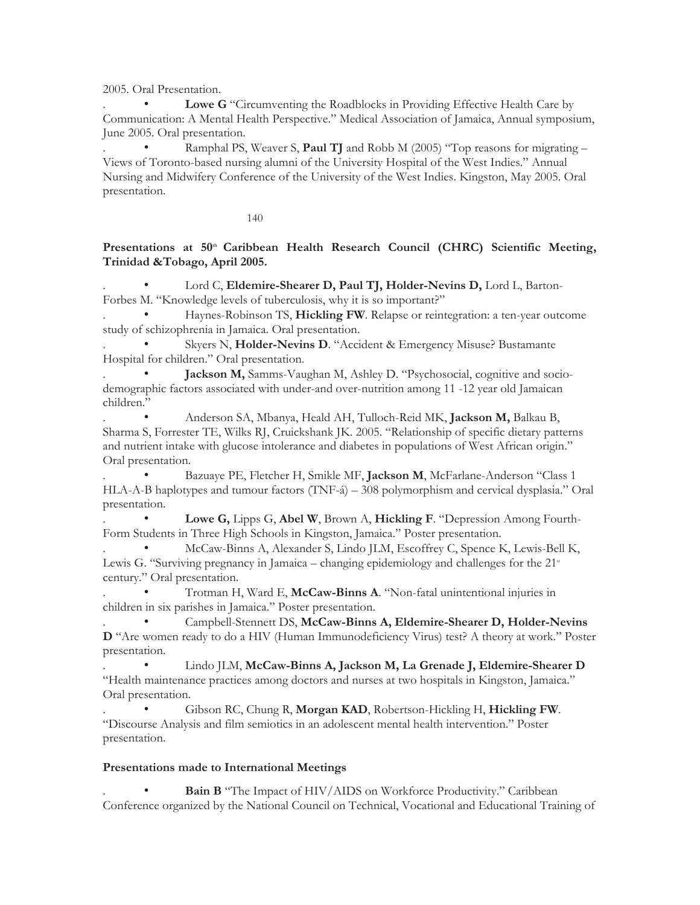2005. Oral Presentation.

. • **Lowe G** "Circumventing the Roadblocks in Providing Effective Health Care by Communication: A Mental Health Perspective." Medical Association of Jamaica, Annual symposium, June 2005. Oral presentation.

Ramphal PS, Weaver S, **Paul TJ** and Robb M (2005) "Top reasons for migrating – Views of Toronto-based nursing alumni of the University Hospital of the West Indies." Annual Nursing and Midwifery Conference of the University of the West Indies. Kingston, May 2005. Oral presentation.

140

### Presentations at 50<sup>th</sup> Caribbean Health Research Council (CHRC) Scientific Meeting, **Trinidad &Tobago, April 2005.**

Lord C, Eldemire-Shearer D, Paul TJ, Holder-Nevins D, Lord L, Barton-Forbes M. "Knowledge levels of tuberculosis, why it is so important?"

. • Haynes-Robinson TS, **Hickling FW**. Relapse or reintegration: a ten-year outcome study of schizophrenia in Jamaica. Oral presentation.

Skyers N, Holder-Nevins D. "Accident & Emergency Misuse? Bustamante Hospital for children." Oral presentation.

Jackson M, Samms-Vaughan M, Ashley D. "Psychosocial, cognitive and sociodemographic factors associated with under-and over-nutrition among 11 -12 year old Jamaican children."

. • Anderson SA, Mbanya, Heald AH, Tulloch-Reid MK, **Jackson M,** Balkau B, Sharma S, Forrester TE, Wilks RJ, Cruickshank JK. 2005. "Relationship of specific dietary patterns and nutrient intake with glucose intolerance and diabetes in populations of West African origin." Oral presentation.

. • Bazuaye PE, Fletcher H, Smikle MF, **Jackson M**, McFarlane-Anderson "Class 1 HLA-A-B haplotypes and tumour factors (TNF-á) – 308 polymorphism and cervical dysplasia." Oral presentation.

. • **Lowe G,** Lipps G, **Abel W**, Brown A, **Hickling F**. "Depression Among Fourth-Form Students in Three High Schools in Kingston, Jamaica." Poster presentation.

. • McCaw-Binns A, Alexander S, Lindo JLM, Escoffrey C, Spence K, Lewis-Bell K, Lewis G. "Surviving pregnancy in Jamaica – changing epidemiology and challenges for the  $21<sup>*</sup>$ century." Oral presentation.

. • Trotman H, Ward E, **McCaw-Binns A**. "Non-fatal unintentional injuries in children in six parishes in Jamaica." Poster presentation.

. • Campbell-Stennett DS, **McCaw-Binns A, Eldemire-Shearer D, Holder-Nevins D** "Are women ready to do a HIV (Human Immunodeficiency Virus) test? A theory at work." Poster presentation.

. • Lindo JLM, **McCaw-Binns A, Jackson M, La Grenade J, Eldemire-Shearer D**  "Health maintenance practices among doctors and nurses at two hospitals in Kingston, Jamaica." Oral presentation.

. • Gibson RC, Chung R, **Morgan KAD**, Robertson-Hickling H, **Hickling FW**. "Discourse Analysis and film semiotics in an adolescent mental health intervention." Poster presentation.

#### **Presentations made to International Meetings**

Bain B "The Impact of HIV/AIDS on Workforce Productivity." Caribbean Conference organized by the National Council on Technical, Vocational and Educational Training of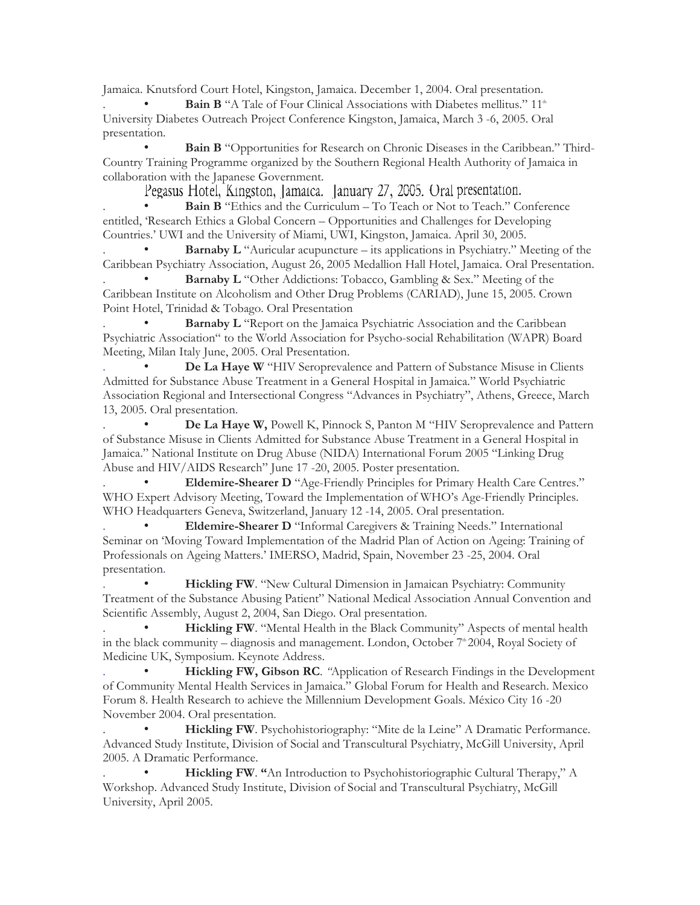Jamaica. Knutsford Court Hotel, Kingston, Jamaica. December 1, 2004. Oral presentation.

Bain B "A Tale of Four Clinical Associations with Diabetes mellitus." 11<sup>th</sup> University Diabetes Outreach Project Conference Kingston, Jamaica, March 3 -6, 2005. Oral presentation.

• **Bain B** "Opportunities for Research on Chronic Diseases in the Caribbean." Third-Country Training Programme organized by the Southern Regional Health Authority of Jamaica in collaboration with the Japanese Government.

Pegasus Hotel, Kingston, Jamaica. January 27, 2005. Oral presentation.

Bain B "Ethics and the Curriculum – To Teach or Not to Teach." Conference entitled, 'Research Ethics a Global Concern – Opportunities and Challenges for Developing Countries.' UWI and the University of Miami, UWI, Kingston, Jamaica. April 30, 2005.

**Barnaby L** "Auricular acupuncture – its applications in Psychiatry." Meeting of the Caribbean Psychiatry Association, August 26, 2005 Medallion Hall Hotel, Jamaica. Oral Presentation.

**Barnaby L** "Other Addictions: Tobacco, Gambling & Sex." Meeting of the Caribbean Institute on Alcoholism and Other Drug Problems (CARIAD), June 15, 2005. Crown Point Hotel, Trinidad & Tobago. Oral Presentation

**Barnaby L** "Report on the Jamaica Psychiatric Association and the Caribbean Psychiatric Association" to the World Association for Psycho-social Rehabilitation (WAPR) Board Meeting, Milan Italy June, 2005. Oral Presentation.

**De La Haye W** "HIV Seroprevalence and Pattern of Substance Misuse in Clients Admitted for Substance Abuse Treatment in a General Hospital in Jamaica." World Psychiatric Association Regional and Intersectional Congress "Advances in Psychiatry", Athens, Greece, March 13, 2005. Oral presentation.

. • **De La Haye W,** Powell K, Pinnock S, Panton M "HIV Seroprevalence and Pattern of Substance Misuse in Clients Admitted for Substance Abuse Treatment in a General Hospital in Jamaica." National Institute on Drug Abuse (NIDA) International Forum 2005 "Linking Drug Abuse and HIV/AIDS Research" June 17 -20, 2005. Poster presentation.

. • **Eldemire-Shearer D** "Age-Friendly Principles for Primary Health Care Centres." WHO Expert Advisory Meeting, Toward the Implementation of WHO's Age-Friendly Principles. WHO Headquarters Geneva, Switzerland, January 12 -14, 2005. Oral presentation.

. • **Eldemire-Shearer D** "Informal Caregivers & Training Needs." International Seminar on 'Moving Toward Implementation of the Madrid Plan of Action on Ageing: Training of Professionals on Ageing Matters.' IMERSO, Madrid, Spain, November 23 -25, 2004. Oral presentation.

Hickling FW. "New Cultural Dimension in Jamaican Psychiatry: Community Treatment of the Substance Abusing Patient" National Medical Association Annual Convention and Scientific Assembly, August 2, 2004, San Diego. Oral presentation.

Hickling FW. "Mental Health in the Black Community" Aspects of mental health in the black community – diagnosis and management. London, October  $7^{\circ}$  2004, Royal Society of Medicine UK, Symposium. Keynote Address.

Hickling FW, Gibson RC. "Application of Research Findings in the Development of Community Mental Health Services in Jamaica." Global Forum for Health and Research. Mexico Forum 8. Health Research to achieve the Millennium Development Goals. México City 16 -20 November 2004. Oral presentation.

Hickling FW. Psychohistoriography: "Mite de la Leine" A Dramatic Performance. Advanced Study Institute, Division of Social and Transcultural Psychiatry, McGill University, April 2005. A Dramatic Performance.

. • **Hickling FW**. **"**An Introduction to Psychohistoriographic Cultural Therapy," A Workshop. Advanced Study Institute, Division of Social and Transcultural Psychiatry, McGill University, April 2005.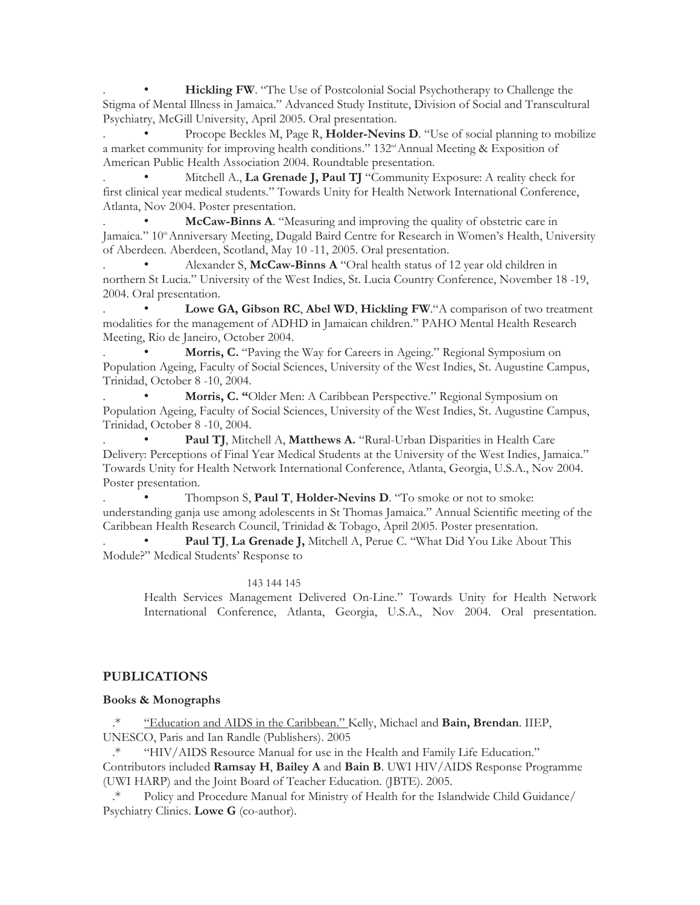**Hickling FW.** "The Use of Postcolonial Social Psychotherapy to Challenge the Stigma of Mental Illness in Jamaica." Advanced Study Institute, Division of Social and Transcultural Psychiatry, McGill University, April 2005. Oral presentation.

Procope Beckles M, Page R, **Holder-Nevins D**. "Use of social planning to mobilize a market community for improving health conditions." 132<sup>nd</sup> Annual Meeting & Exposition of American Public Health Association 2004. Roundtable presentation.

Mitchell A., La Grenade J, Paul TJ "Community Exposure: A reality check for first clinical year medical students." Towards Unity for Health Network International Conference, Atlanta, Nov 2004. Poster presentation.

. • **McCaw-Binns A**. "Measuring and improving the quality of obstetric care in Jamaica." 10<sup>th</sup> Anniversary Meeting, Dugald Baird Centre for Research in Women's Health, University of Aberdeen. Aberdeen, Scotland, May 10 -11, 2005. Oral presentation.

. • Alexander S, **McCaw-Binns A** "Oral health status of 12 year old children in northern St Lucia." University of the West Indies, St. Lucia Country Conference, November 18 -19, 2004. Oral presentation.

Lowe GA, Gibson RC, Abel WD, Hickling FW."A comparison of two treatment modalities for the management of ADHD in Jamaican children." PAHO Mental Health Research Meeting, Rio de Janeiro, October 2004.

Morris, C. "Paving the Way for Careers in Ageing." Regional Symposium on Population Ageing, Faculty of Social Sciences, University of the West Indies, St. Augustine Campus, Trinidad, October 8 -10, 2004.

. • **Morris, C. "**Older Men: A Caribbean Perspective." Regional Symposium on Population Ageing, Faculty of Social Sciences, University of the West Indies, St. Augustine Campus, Trinidad, October 8 -10, 2004.

Paul TJ, Mitchell A, Matthews A. "Rural-Urban Disparities in Health Care Delivery: Perceptions of Final Year Medical Students at the University of the West Indies, Jamaica." Towards Unity for Health Network International Conference, Atlanta, Georgia, U.S.A., Nov 2004. Poster presentation.

. • Thompson S, **Paul T**, **Holder-Nevins D**. "To smoke or not to smoke: understanding ganja use among adolescents in St Thomas Jamaica." Annual Scientific meeting of the Caribbean Health Research Council, Trinidad & Tobago, April 2005. Poster presentation.

Paul TJ, La Grenade J, Mitchell A, Perue C. "What Did You Like About This Module?" Medical Students' Response to

#### 143 144 145

Health Services Management Delivered On-Line." Towards Unity for Health Network International Conference, Atlanta, Georgia, U.S.A., Nov 2004. Oral presentation.

# **PUBLICATIONS**

### **Books & Monographs**

.\* "Education and AIDS in the Caribbean." Kelly, Michael and **Bain, Brendan**. IIEP, UNESCO, Paris and Ian Randle (Publishers). 2005

.\* "HIV/AIDS Resource Manual for use in the Health and Family Life Education." Contributors included **Ramsay H**, **Bailey A** and **Bain B**. UWI HIV/AIDS Response Programme (UWI HARP) and the Joint Board of Teacher Education. (JBTE). 2005.

Policy and Procedure Manual for Ministry of Health for the Islandwide Child Guidance/ Psychiatry Clinics. **Lowe G** (co-author).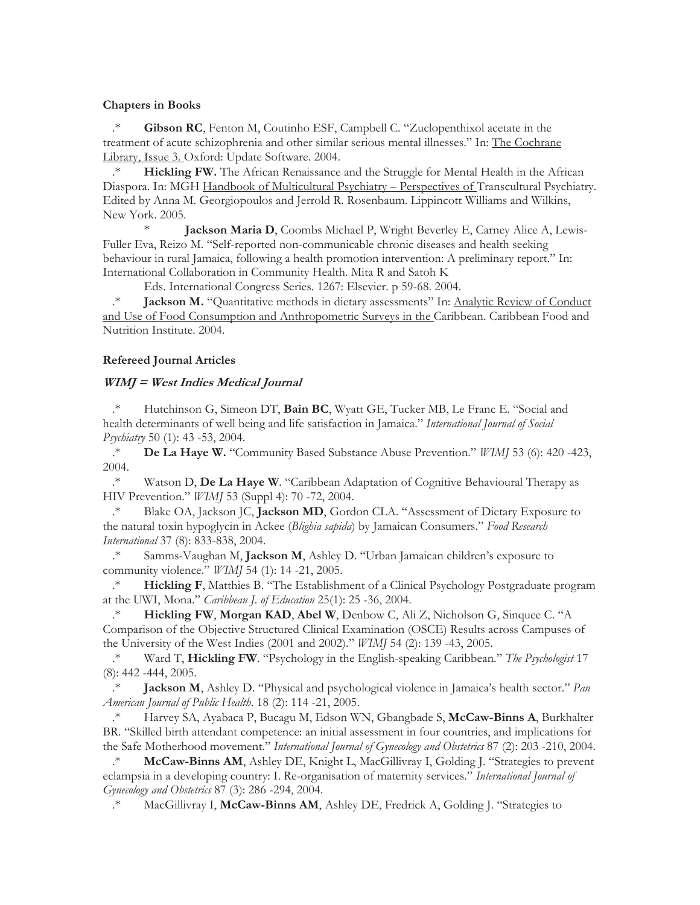### **Chapters in Books**

.\* **Gibson RC**, Fenton M, Coutinho ESF, Campbell C. "Zuclopenthixol acetate in the treatment of acute schizophrenia and other similar serious mental illnesses." In: The Cochrane Library, Issue 3. Oxford: Update Software. 2004.

.\* **Hickling FW.** The African Renaissance and the Struggle for Mental Health in the African Diaspora. In: MGH Handbook of Multicultural Psychiatry – Perspectives of Transcultural Psychiatry. Edited by Anna M. Georgiopoulos and Jerrold R. Rosenbaum. Lippincott Williams and Wilkins, New York. 2005.

\* **Jackson Maria D**, Coombs Michael P, Wright Beverley E, Carney Alice A, Lewis-Fuller Eva, Reizo M. "Self-reported non-communicable chronic diseases and health seeking behaviour in rural Jamaica, following a health promotion intervention: A preliminary report." In: International Collaboration in Community Health. Mita R and Satoh K

Eds. International Congress Series. 1267: Elsevier. p 59-68. 2004.

.\* **Jackson M.** "Quantitative methods in dietary assessments" In: Analytic Review of Conduct and Use of Food Consumption and Anthropometric Surveys in the Caribbean. Caribbean Food and Nutrition Institute. 2004.

### **Refereed Journal Articles**

### **WIMJ = West Indies Medical Journal**

.\* Hutchinson G, Simeon DT, **Bain BC**, Wyatt GE, Tucker MB, Le Franc E. "Social and health determinants of well being and life satisfaction in Jamaica." *International Journal of Social Psychiatry* 50 (1): 43 -53, 2004.

.\* **De La Haye W.** "Community Based Substance Abuse Prevention." *WIMJ* 53 (6): 420 -423, 2004.

.\* Watson D, **De La Haye W**. "Caribbean Adaptation of Cognitive Behavioural Therapy as HIV Prevention." *WIMJ* 53 (Suppl 4): 70 -72, 2004.

.\* Blake OA, Jackson JC, **Jackson MD**, Gordon CLA. "Assessment of Dietary Exposure to the natural toxin hypoglycin in Ackee (*Blighia sapida*) by Jamaican Consumers." *Food Research International* 37 (8): 833-838, 2004.

.\* Samms-Vaughan M, **Jackson M**, Ashley D. "Urban Jamaican children's exposure to community violence." *WIMJ* 54 (1): 14 -21, 2005.

.\* **Hickling F**, Matthies B. "The Establishment of a Clinical Psychology Postgraduate program at the UWI, Mona." *Caribbean J. of Education* 25(1): 25 -36, 2004.

.\* **Hickling FW**, **Morgan KAD**, **Abel W**, Denbow C, Ali Z, Nicholson G, Sinquee C. "A Comparison of the Objective Structured Clinical Examination (OSCE) Results across Campuses of the University of the West Indies (2001 and 2002)." *WIMJ* 54 (2): 139 -43, 2005.

.\* Ward T, **Hickling FW**. "Psychology in the English-speaking Caribbean." *The Psychologist* 17 (8): 442 -444, 2005.

.\* **Jackson M**, Ashley D. "Physical and psychological violence in Jamaica's health sector." *Pan American Journal of Public Health*. 18 (2): 114 -21, 2005.

.\* Harvey SA, Ayabaca P, Bucagu M, Edson WN, Gbangbade S, **McCaw-Binns A**, Burkhalter BR. "Skilled birth attendant competence: an initial assessment in four countries, and implications for the Safe Motherhood movement." *International Journal of Gynecology and Obstetrics* 87 (2): 203 -210, 2004.

.\* **McCaw-Binns AM**, Ashley DE, Knight L, MacGillivray I, Golding J. "Strategies to prevent eclampsia in a developing country: I. Re-organisation of maternity services." *International Journal of Gynecology and Obstetrics* 87 (3): 286 -294, 2004.

.\* MacGillivray I, **McCaw-Binns AM**, Ashley DE, Fredrick A, Golding J. "Strategies to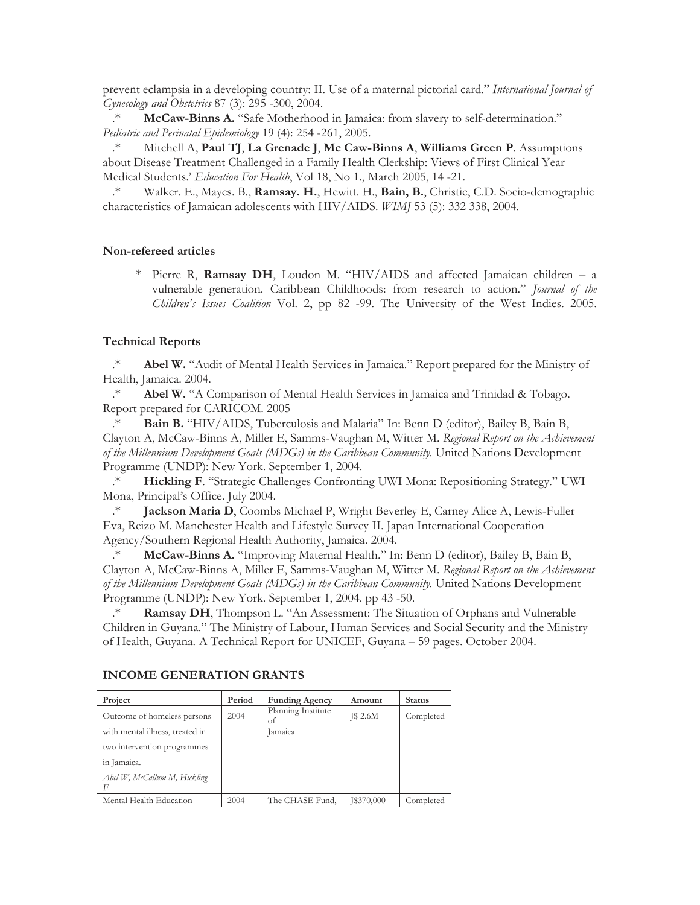prevent eclampsia in a developing country: II. Use of a maternal pictorial card." *International Journal of Gynecology and Obstetrics* 87 (3): 295 -300, 2004.

.\* **McCaw-Binns A.** "Safe Motherhood in Jamaica: from slavery to self-determination." *Pediatric and Perinatal Epidemiology* 19 (4): 254 -261, 2005.

.\* Mitchell A, **Paul TJ**, **La Grenade J**, **Mc Caw-Binns A**, **Williams Green P**. Assumptions about Disease Treatment Challenged in a Family Health Clerkship: Views of First Clinical Year Medical Students.' *Education For Health*, Vol 18, No 1., March 2005, 14 -21.

.\* Walker. E., Mayes. B., **Ramsay. H.**, Hewitt. H., **Bain, B.**, Christie, C.D. Socio-demographic characteristics of Jamaican adolescents with HIV/AIDS. *WIMJ* 53 (5): 332 338, 2004.

#### **Non-refereed articles**

\* Pierre R, **Ramsay DH**, Loudon M. "HIV/AIDS and affected Jamaican children – a vulnerable generation. Caribbean Childhoods: from research to action." *Journal of the Children's Issues Coalition* Vol. 2, pp 82 -99. The University of the West Indies. 2005.

#### **Technical Reports**

.\* **Abel W.** "Audit of Mental Health Services in Jamaica." Report prepared for the Ministry of Health, Jamaica. 2004.

.\* **Abel W.** "A Comparison of Mental Health Services in Jamaica and Trinidad & Tobago. Report prepared for CARICOM. 2005

Bain B. "HIV/AIDS, Tuberculosis and Malaria" In: Benn D (editor), Bailey B, Bain B, Clayton A, McCaw-Binns A, Miller E, Samms-Vaughan M, Witter M. *Regional Report on the Achievement of the Millennium Development Goals (MDGs) in the Caribbean Community.* United Nations Development Programme (UNDP): New York. September 1, 2004.

.\* **Hickling F**. "Strategic Challenges Confronting UWI Mona: Repositioning Strategy." UWI Mona, Principal's Office. July 2004.

.\* **Jackson Maria D**, Coombs Michael P, Wright Beverley E, Carney Alice A, Lewis-Fuller Eva, Reizo M. Manchester Health and Lifestyle Survey II. Japan International Cooperation Agency/Southern Regional Health Authority, Jamaica. 2004.

.\* **McCaw-Binns A.** "Improving Maternal Health." In: Benn D (editor), Bailey B, Bain B, Clayton A, McCaw-Binns A, Miller E, Samms-Vaughan M, Witter M. *Regional Report on the Achievement of the Millennium Development Goals (MDGs) in the Caribbean Community.* United Nations Development Programme (UNDP): New York. September 1, 2004. pp 43 -50.

.\* **Ramsay DH**, Thompson L. "An Assessment: The Situation of Orphans and Vulnerable Children in Guyana." The Ministry of Labour, Human Services and Social Security and the Ministry of Health, Guyana. A Technical Report for UNICEF, Guyana – 59 pages. October 2004.

| Project                            | Period | <b>Funding Agency</b>    | Amount          | <b>Status</b> |
|------------------------------------|--------|--------------------------|-----------------|---------------|
| Outcome of homeless persons        | 2004   | Planning Institute<br>of | <b>J\$ 2.6M</b> | Completed     |
| with mental illness, treated in    |        | Jamaica                  |                 |               |
| two intervention programmes        |        |                          |                 |               |
| in Jamaica.                        |        |                          |                 |               |
| Abel W, McCallum M, Hickling<br>F. |        |                          |                 |               |
| Mental Health Education            | 2004   | The CHASE Fund,          | J\$370,000      | Completed     |

#### **INCOME GENERATION GRANTS**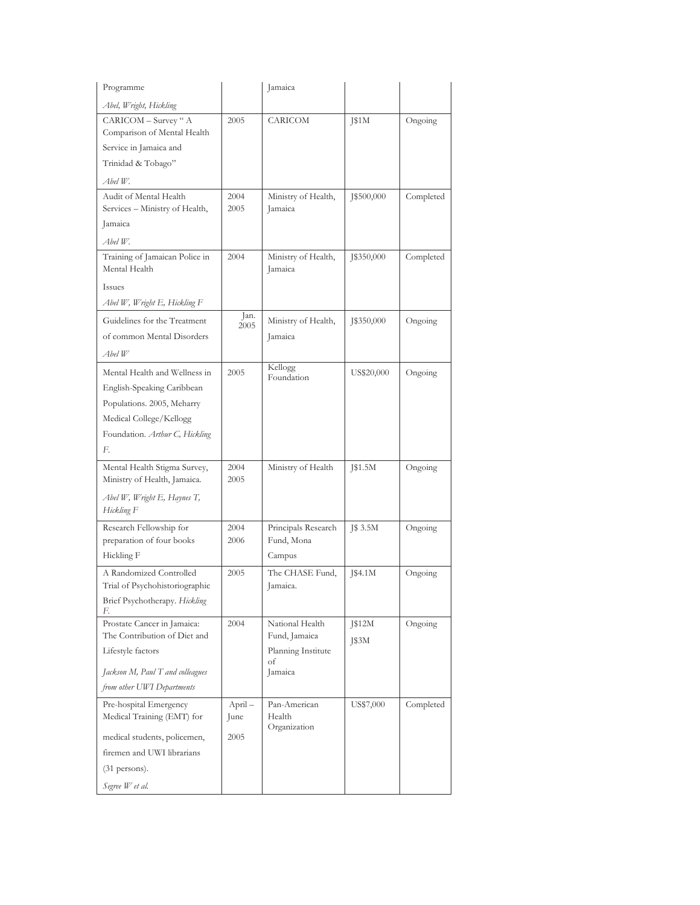| Programme                                                                                                                                                    |                         | Jamaica                                                                 |                 |           |
|--------------------------------------------------------------------------------------------------------------------------------------------------------------|-------------------------|-------------------------------------------------------------------------|-----------------|-----------|
| Abel, Wright, Hickling                                                                                                                                       |                         |                                                                         |                 |           |
| CARICOM - Survey " A<br>Comparison of Mental Health<br>Service in Jamaica and<br>Trinidad & Tobago"                                                          | 2005                    | CARICOM                                                                 | J\$1M           | Ongoing   |
| Abel W.                                                                                                                                                      |                         |                                                                         |                 |           |
| Audit of Mental Health<br>Services - Ministry of Health,<br>Jamaica                                                                                          | 2004<br>2005            | Ministry of Health,<br>Jamaica                                          | J\$500,000      | Completed |
| Abel W.                                                                                                                                                      |                         |                                                                         |                 |           |
| Training of Jamaican Police in<br>Mental Health                                                                                                              | 2004                    | Ministry of Health,<br>Jamaica                                          | J\$350,000      | Completed |
| Issues                                                                                                                                                       |                         |                                                                         |                 |           |
| Abel W, Wright E, Hickling F                                                                                                                                 |                         |                                                                         |                 |           |
| Guidelines for the Treatment<br>of common Mental Disorders<br>Abel W                                                                                         | Jan.<br>2005            | Ministry of Health,<br>Jamaica                                          | 1\$350,000      | Ongoing   |
| Mental Health and Wellness in<br>English-Speaking Caribbean<br>Populations. 2005, Meharry<br>Medical College/Kellogg<br>Foundation. Arthur C, Hickling<br>F. | 2005                    | Kellogg<br>Foundation                                                   | US\$20,000      | Ongoing   |
| Mental Health Stigma Survey,<br>Ministry of Health, Jamaica.                                                                                                 | 2004<br>2005            | Ministry of Health                                                      | J\$1.5M         | Ongoing   |
| Abel W, Wright E, Haynes T,<br>Hickling F                                                                                                                    |                         |                                                                         |                 |           |
| Research Fellowship for<br>preparation of four books<br>Hickling F                                                                                           | 2004<br>2006            | Principals Research<br>Fund, Mona<br>Campus                             | J\$ 3.5M        | Ongoing   |
| A Randomized Controlled<br>Trial of Psychohistoriographic<br>Brief Psychotherapy. Hickling                                                                   | 2005                    | The CHASE Fund,<br>Jamaica.                                             | [\$4.1 $M$      | Ongoing   |
| F.<br>Prostate Cancer in Jamaica:<br>The Contribution of Diet and<br>Lifestyle factors<br>Jackson M, Paul T and colleagues<br>from other UWI Departments     | 2004                    | National Health<br>Fund, Jamaica<br>Planning Institute<br>оf<br>Jamaica | J\$12M<br>J\$3M | Ongoing   |
| Pre-hospital Emergency<br>Medical Training (EMT) for<br>medical students, policemen,<br>firemen and UWI librarians<br>$(31$ persons).<br>Segree W et al.     | April -<br>June<br>2005 | Pan-American<br>Health<br>Organization                                  | US\$7,000       | Completed |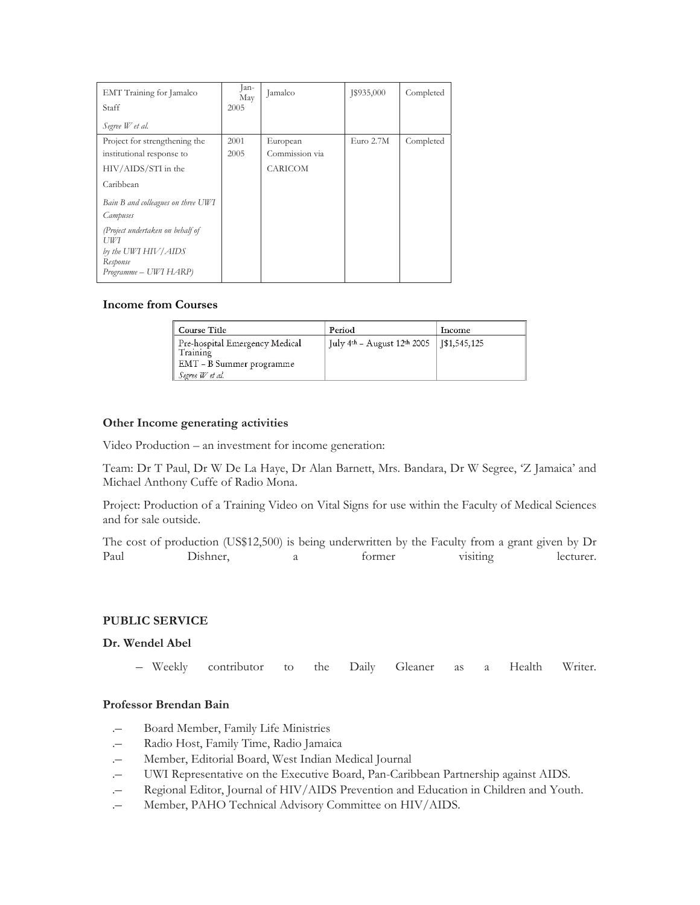| EMT Training for Jamalco<br>Staff       | lan-<br>May<br>2005 | Jamalco        | 1\$935,000  | Completed |
|-----------------------------------------|---------------------|----------------|-------------|-----------|
| Segree W et al.                         |                     |                |             |           |
| Project for strengthening the           | 2001                | European       | Euro $2.7M$ | Completed |
| institutional response to               | 2005                | Commission via |             |           |
| HIV/AIDS/STI in the                     |                     | <b>CARICOM</b> |             |           |
| Caribbean                               |                     |                |             |           |
| Bain B and colleagues on three UWI      |                     |                |             |           |
| Campuses                                |                     |                |             |           |
| (Project undertaken on behalf of<br>UWI |                     |                |             |           |
| by the UWI HIV/AIDS                     |                     |                |             |           |
| Response                                |                     |                |             |           |
| Programme - UWI HARP)                   |                     |                |             |           |

### **Income from Courses**

| Course Title                                                                              | Period                                     | <b>Income</b> |
|-------------------------------------------------------------------------------------------|--------------------------------------------|---------------|
| Pre-hospital Emergency Medical<br>Training<br>EMT - B Summer programme<br>Segree W et al. | July 4th - August 12th 2005   J\$1,545,125 |               |

#### **Other Income generating activities**

Video Production – an investment for income generation:

Team: Dr T Paul, Dr W De La Haye, Dr Alan Barnett, Mrs. Bandara, Dr W Segree, 'Z Jamaica' and Michael Anthony Cuffe of Radio Mona.

Project: Production of a Training Video on Vital Signs for use within the Faculty of Medical Sciences and for sale outside.

The cost of production (US\$12,500) is being underwritten by the Faculty from a grant given by Dr Paul Dishner, a former visiting lecturer.

#### **PUBLIC SERVICE**

#### **Dr. Wendel Abel**

– Weekly contributor to the Daily Gleaner as a Health Writer.

### **Professor Brendan Bain**

- .– Board Member, Family Life Ministries
- .– Radio Host, Family Time, Radio Jamaica
- Member, Editorial Board, West Indian Medical Journal
- .– UWI Representative on the Executive Board, Pan-Caribbean Partnership against AIDS.
- .– Regional Editor, Journal of HIV/AIDS Prevention and Education in Children and Youth.
- .– Member, PAHO Technical Advisory Committee on HIV/AIDS.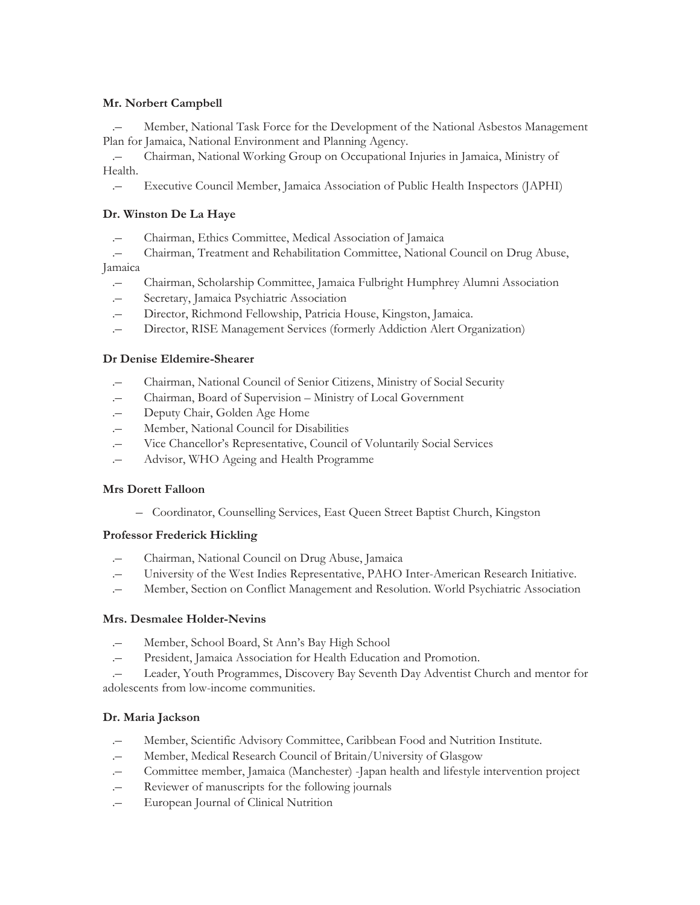### **Mr. Norbert Campbell**

.– Member, National Task Force for the Development of the National Asbestos Management Plan for Jamaica, National Environment and Planning Agency.

.– Chairman, National Working Group on Occupational Injuries in Jamaica, Ministry of Health.

.– Executive Council Member, Jamaica Association of Public Health Inspectors (JAPHI)

### **Dr. Winston De La Haye**

.– Chairman, Ethics Committee, Medical Association of Jamaica

.– Chairman, Treatment and Rehabilitation Committee, National Council on Drug Abuse,

### Jamaica

- .– Chairman, Scholarship Committee, Jamaica Fulbright Humphrey Alumni Association
- Secretary, Jamaica Psychiatric Association
- .– Director, Richmond Fellowship, Patricia House, Kingston, Jamaica.
- .– Director, RISE Management Services (formerly Addiction Alert Organization)

### **Dr Denise Eldemire-Shearer**

- .– Chairman, National Council of Senior Citizens, Ministry of Social Security
- .– Chairman, Board of Supervision Ministry of Local Government
- .– Deputy Chair, Golden Age Home
- .– Member, National Council for Disabilities
- .– Vice Chancellor's Representative, Council of Voluntarily Social Services
- .– Advisor, WHO Ageing and Health Programme

### **Mrs Dorett Falloon**

– Coordinator, Counselling Services, East Queen Street Baptist Church, Kingston

### **Professor Frederick Hickling**

- .– Chairman, National Council on Drug Abuse, Jamaica
- .– University of the West Indies Representative, PAHO Inter-American Research Initiative.
- .– Member, Section on Conflict Management and Resolution. World Psychiatric Association

### **Mrs. Desmalee Holder-Nevins**

- Member, School Board, St Ann's Bay High School
- .– President, Jamaica Association for Health Education and Promotion.

Leader, Youth Programmes, Discovery Bay Seventh Day Adventist Church and mentor for adolescents from low-income communities.

# **Dr. Maria Jackson**

- .– Member, Scientific Advisory Committee, Caribbean Food and Nutrition Institute.
- Member, Medical Research Council of Britain/University of Glasgow
- .– Committee member, Jamaica (Manchester) -Japan health and lifestyle intervention project
- .– Reviewer of manuscripts for the following journals
- .– European Journal of Clinical Nutrition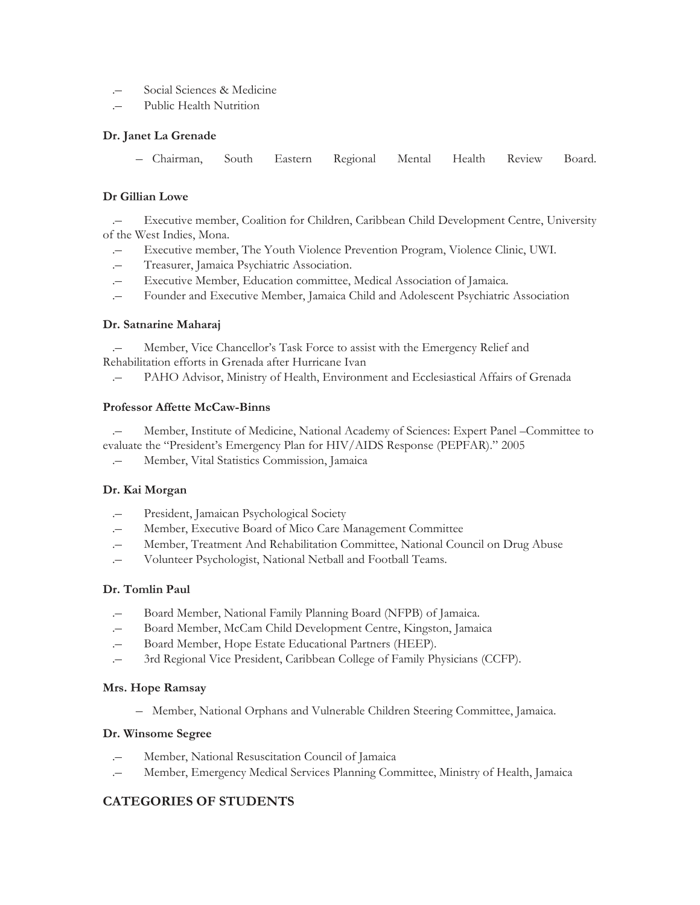- Social Sciences & Medicine
- Public Health Nutrition

### **Dr. Janet La Grenade**

– Chairman, South Eastern Regional Mental Health Review Board.

### **Dr Gillian Lowe**

.– Executive member, Coalition for Children, Caribbean Child Development Centre, University of the West Indies, Mona.

- .– Executive member, The Youth Violence Prevention Program, Violence Clinic, UWI.
- .– Treasurer, Jamaica Psychiatric Association.
- .– Executive Member, Education committee, Medical Association of Jamaica.
- .– Founder and Executive Member, Jamaica Child and Adolescent Psychiatric Association

### **Dr. Satnarine Maharaj**

Member, Vice Chancellor's Task Force to assist with the Emergency Relief and Rehabilitation efforts in Grenada after Hurricane Ivan

.– PAHO Advisor, Ministry of Health, Environment and Ecclesiastical Affairs of Grenada

#### **Professor Affette McCaw-Binns**

.– Member, Institute of Medicine, National Academy of Sciences: Expert Panel –Committee to evaluate the "President's Emergency Plan for HIV/AIDS Response (PEPFAR)." 2005

.– Member, Vital Statistics Commission, Jamaica

### **Dr. Kai Morgan**

- .– President, Jamaican Psychological Society
- .– Member, Executive Board of Mico Care Management Committee
- .– Member, Treatment And Rehabilitation Committee, National Council on Drug Abuse
- .– Volunteer Psychologist, National Netball and Football Teams.

#### **Dr. Tomlin Paul**

- .– Board Member, National Family Planning Board (NFPB) of Jamaica.
- .– Board Member, McCam Child Development Centre, Kingston, Jamaica
- .– Board Member, Hope Estate Educational Partners (HEEP).
- .– 3rd Regional Vice President, Caribbean College of Family Physicians (CCFP).

#### **Mrs. Hope Ramsay**

– Member, National Orphans and Vulnerable Children Steering Committee, Jamaica.

#### **Dr. Winsome Segree**

- Member, National Resuscitation Council of Jamaica
- .– Member, Emergency Medical Services Planning Committee, Ministry of Health, Jamaica

# **CATEGORIES OF STUDENTS**